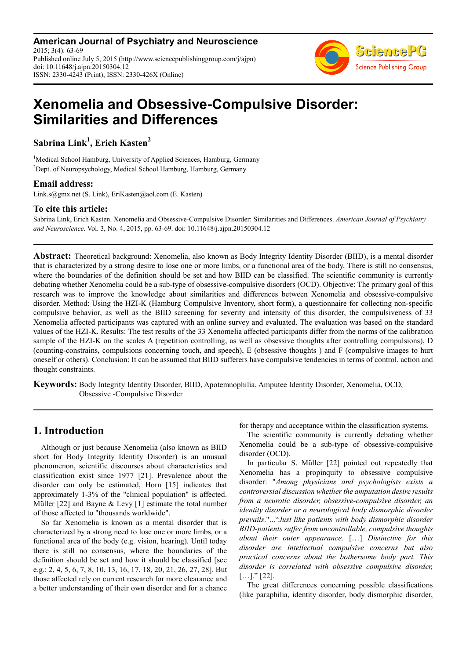**American Journal of Psychiatry and Neuroscience** 2015; 3(4): 63-69 Published online July 5, 2015 (http://www.sciencepublishinggroup.com/j/ajpn) doi: 10.11648/j.ajpn.20150304.12 ISSN: 2330-4243 (Print); ISSN: 2330-426X (Online)



# **Xenomelia and Obsessive-Compulsive Disorder: Similarities and Differences**

**Sabrina Link<sup>1</sup> , Erich Kasten<sup>2</sup>**

<sup>1</sup>Medical School Hamburg, University of Applied Sciences, Hamburg, Germany <sup>2</sup>Dept. of Neuropsychology, Medical School Hamburg, Hamburg, Germany

## **Email address:**

Link.s@gmx.net (S. Link), EriKasten@aol.com (E. Kasten)

## **To cite this article:**

Sabrina Link, Erich Kasten. Xenomelia and Obsessive-Compulsive Disorder: Similarities and Differences. *American Journal of Psychiatry and Neuroscience*. Vol. 3, No. 4, 2015, pp. 63-69. doi: 10.11648/j.ajpn.20150304.12

**Abstract:** Theoretical background: Xenomelia, also known as Body Integrity Identity Disorder (BIID), is a mental disorder that is characterized by a strong desire to lose one or more limbs, or a functional area of the body. There is still no consensus, where the boundaries of the definition should be set and how BIID can be classified. The scientific community is currently debating whether Xenomelia could be a sub-type of obsessive-compulsive disorders (OCD). Objective: The primary goal of this research was to improve the knowledge about similarities and differences between Xenomelia and obsessive-compulsive disorder. Method: Using the HZI-K (Hamburg Compulsive Inventory, short form), a questionnaire for collecting non-specific compulsive behavior, as well as the BIID screening for severity and intensity of this disorder, the compulsiveness of 33 Xenomelia affected participants was captured with an online survey and evaluated. The evaluation was based on the standard values of the HZI-K. Results: The test results of the 33 Xenomelia affected participants differ from the norms of the calibration sample of the HZI-K on the scales A (repetition controlling, as well as obsessive thoughts after controlling compulsions), D (counting-constrains, compulsions concerning touch, and speech), E (obsessive thoughts ) and F (compulsive images to hurt oneself or others). Conclusion: It can be assumed that BIID sufferers have compulsive tendencies in terms of control, action and thought constraints.

**Keywords:** Body Integrity Identity Disorder, BIID, Apotemnophilia, Amputee Identity Disorder, Xenomelia, OCD, Obsessive -Compulsive Disorder

## **1. Introduction**

Although or just because Xenomelia (also known as BIID short for Body Integrity Identity Disorder) is an unusual phenomenon, scientific discourses about characteristics and classification exist since 1977 [21]. Prevalence about the disorder can only be estimated, Horn [15] indicates that approximately 1-3% of the "clinical population" is affected. Müller [22] and Bayne & Levy [1] estimate the total number of those affected to "thousands worldwide".

So far Xenomelia is known as a mental disorder that is characterized by a strong need to lose one or more limbs, or a functional area of the body (e.g. vision, hearing). Until today there is still no consensus, where the boundaries of the definition should be set and how it should be classified [see e.g.: 2, 4, 5, 6, 7, 8, 10, 13, 16, 17, 18, 20, 21, 26, 27, 28]. But those affected rely on current research for more clearance and a better understanding of their own disorder and for a chance for therapy and acceptance within the classification systems.

The scientific community is currently debating whether Xenomelia could be a sub-type of obsessive-compulsive disorder (OCD).

In particular S. Müller [22] pointed out repeatedly that Xenomelia has a propinquity to obsessive compulsive disorder: "*Among physicians and psychologists exists a controversial discussion whether the amputation desire results from a neurotic disorder, obsessive-compulsive disorder, an identity disorder or a neurological body dismorphic disorder prevails*."..."*Just like patients with body dismorphic disorder BIID-patients suffer from uncontrollable, compulsive thoughts about their outer appearance.* […] *Distinctive for this disorder are intellectual compulsive concerns but also practical concerns about the bothersome body part. This disorder is correlated with obsessive compulsive disorder,*   $[...]$ ." [22].

The great differences concerning possible classifications (like paraphilia, identity disorder, body dismorphic disorder,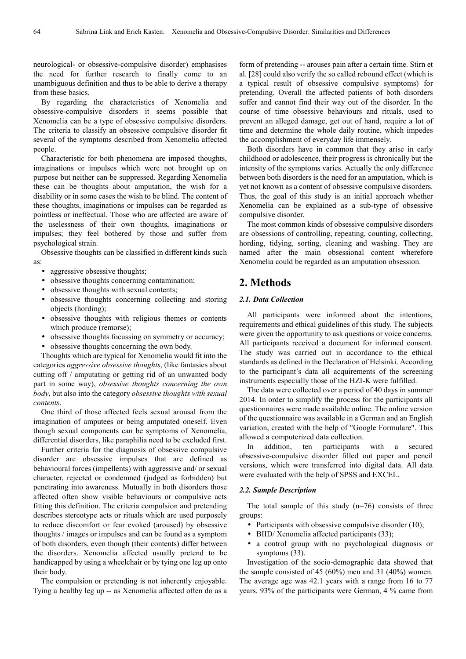neurological- or obsessive-compulsive disorder) emphasises the need for further research to finally come to an unambiguous definition and thus to be able to derive a therapy from these basics.

By regarding the characteristics of Xenomelia and obsessive-compulsive disorders it seems possible that Xenomelia can be a type of obsessive compulsive disorders. The criteria to classify an obsessive compulsive disorder fit several of the symptoms described from Xenomelia affected people.

Characteristic for both phenomena are imposed thoughts, imaginations or impulses which were not brought up on purpose but neither can be suppressed. Regarding Xenomelia these can be thoughts about amputation, the wish for a disability or in some cases the wish to be blind. The content of these thoughts, imaginations or impulses can be regarded as pointless or ineffectual. Those who are affected are aware of the uselessness of their own thoughts, imaginations or impulses; they feel bothered by those and suffer from psychological strain.

Obsessive thoughts can be classified in different kinds such as:

- aggressive obsessive thoughts;
- obsessive thoughts concerning contamination;
- obsessive thoughts with sexual contents;
- obsessive thoughts concerning collecting and storing objects (hording);
- obsessive thoughts with religious themes or contents which produce (remorse);
- obsessive thoughts focussing on symmetry or accuracy;
- obsessive thoughts concerning the own body.

Thoughts which are typical for Xenomelia would fit into the categories *aggressive obsessive thoughts*, (like fantasies about cutting off / amputating or getting rid of an unwanted body part in some way), *obsessive thoughts concerning the own body*, but also into the category *obsessive thoughts with sexual contents*.

One third of those affected feels sexual arousal from the imagination of amputees or being amputated oneself. Even though sexual components can be symptoms of Xenomelia, differential disorders, like paraphilia need to be excluded first.

Further criteria for the diagnosis of obsessive compulsive disorder are obsessive impulses that are defined as behavioural forces (impellents) with aggressive and/ or sexual character, rejected or condemned (judged as forbidden) but penetrating into awareness. Mutually in both disorders those affected often show visible behaviours or compulsive acts fitting this definition. The criteria compulsion and pretending describes stereotype acts or rituals which are used purposely to reduce discomfort or fear evoked (aroused) by obsessive thoughts / images or impulses and can be found as a symptom of both disorders, even though (their contents) differ between the disorders. Xenomelia affected usually pretend to be handicapped by using a wheelchair or by tying one leg up onto their body.

The compulsion or pretending is not inherently enjoyable. Tying a healthy leg up -- as Xenomelia affected often do as a form of pretending -- arouses pain after a certain time. Stirn et al. [28] could also verify the so called rebound effect (which is a typical result of obsessive compulsive symptoms) for pretending. Overall the affected patients of both disorders suffer and cannot find their way out of the disorder. In the course of time obsessive behaviours and rituals, used to prevent an alleged damage, get out of hand, require a lot of time and determine the whole daily routine, which impedes the accomplishment of everyday life immensely.

Both disorders have in common that they arise in early childhood or adolescence, their progress is chronically but the intensity of the symptoms varies. Actually the only difference between both disorders is the need for an amputation, which is yet not known as a content of obsessive compulsive disorders. Thus, the goal of this study is an initial approach whether Xenomelia can be explained as a sub-type of obsessive compulsive disorder.

The most common kinds of obsessive compulsive disorders are obsessions of controlling, repeating, counting, collecting, hording, tidying, sorting, cleaning and washing. They are named after the main obsessional content wherefore Xenomelia could be regarded as an amputation obsession.

## **2. Methods**

#### *2.1. Data Collection*

All participants were informed about the intentions, requirements and ethical guidelines of this study. The subjects were given the opportunity to ask questions or voice concerns. All participants received a document for informed consent. The study was carried out in accordance to the ethical standards as defined in the Declaration of Helsinki. According to the participant's data all acquirements of the screening instruments especially those of the HZI-K were fulfilled.

The data were collected over a period of 40 days in summer 2014. In order to simplify the process for the participants all questionnaires were made available online. The online version of the questionnaire was available in a German and an English variation, created with the help of "Google Formulare". This allowed a computerized data collection.

In addition, ten participants with a secured obsessive-compulsive disorder filled out paper and pencil versions, which were transferred into digital data. All data were evaluated with the help of SPSS and EXCEL.

#### *2.2. Sample Description*

The total sample of this study  $(n=76)$  consists of three groups:

- Participants with obsessive compulsive disorder  $(10)$ ;
- BIID/Xenomelia affected participants (33);
- a control group with no psychological diagnosis or symptoms (33).

Investigation of the socio-demographic data showed that the sample consisted of 45 (60%) men and 31 (40%) women. The average age was 42.1 years with a range from 16 to 77 years. 93% of the participants were German, 4 % came from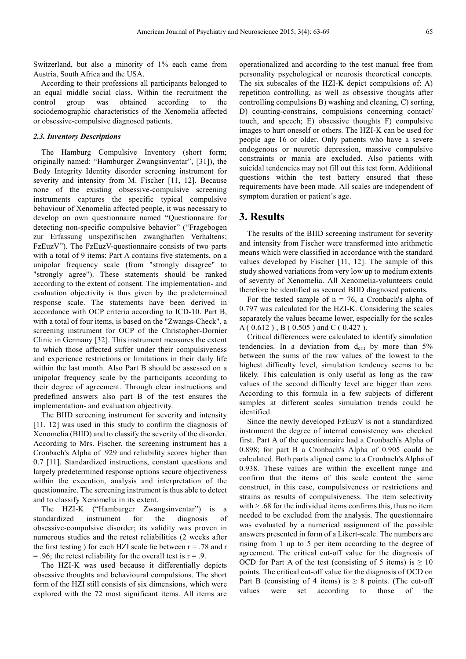Switzerland, but also a minority of 1% each came from Austria, South Africa and the USA.

According to their professions all participants belonged to an equal middle social class. Within the recruitment the control group was obtained according to the sociodemographic characteristics of the Xenomelia affected or obsessive-compulsive diagnosed patients.

#### *2.3. Inventory Descriptions*

The Hamburg Compulsive Inventory (short form; originally named: "Hamburger Zwangsinventar", [31]), the Body Integrity Identity disorder screening instrument for severity and intensity from M. Fischer [11, 12]. Because none of the existing obsessive-compulsive screening instruments captures the specific typical compulsive behaviour of Xenomelia affected people, it was necessary to develop an own questionnaire named "Questionnaire for detecting non-specific compulsive behavior" ("Fragebogen zur Erfassung unspezifischen zwanghaften Verhaltens; FzEuzV"). The FzEuzV-questionnaire consists of two parts with a total of 9 items: Part A contains five statements, on a unipolar frequency scale (from "strongly disagree" to "strongly agree"). These statements should be ranked according to the extent of consent. The implementation- and evaluation objectivity is thus given by the predetermined response scale. The statements have been derived in accordance with OCP criteria according to ICD-10. Part B, with a total of four items, is based on the "Zwangs-Check", a screening instrument for OCP of the Christopher-Dornier Clinic in Germany [32]. This instrument measures the extent to which those affected suffer under their compulsiveness and experience restrictions or limitations in their daily life within the last month. Also Part B should be assessed on a unipolar frequency scale by the participants according to their degree of agreement. Through clear instructions and predefined answers also part B of the test ensures the implementation- and evaluation objectivity.

The BIID screening instrument for severity and intensity [11, 12] was used in this study to confirm the diagnosis of Xenomelia (BIID) and to classify the severity of the disorder. According to Mrs. Fischer, the screening instrument has a Cronbach's Alpha of .929 and reliability scores higher than 0.7 [11]. Standardized instructions, constant questions and largely predetermined response options secure objectiveness within the execution, analysis and interpretation of the questionnaire. The screening instrument is thus able to detect and to classify Xenomelia in its extent.

The HZI-K ("Hamburger Zwangsinventar") is a standardized instrument for the diagnosis of obsessive-compulsive disorder; its validity was proven in numerous studies and the retest reliabilities (2 weeks after the first testing ) for each HZI scale lie between  $r = .78$  and r  $= .96$ ; the retest reliability for the overall test is  $r = .9$ .

The HZI-K was used because it differentially depicts obsessive thoughts and behavioural compulsions. The short form of the HZI still consists of six dimensions, which were explored with the 72 most significant items. All items are operationalized and according to the test manual free from personality psychological or neurosis theoretical concepts. The six subscales of the HZI-K depict compulsions of: A) repetition controlling, as well as obsessive thoughts after controlling compulsions B) washing and cleaning, C) sorting, D) counting-constrains, compulsions concerning contact/ touch, and speech; E) obsessive thoughts F) compulsive images to hurt oneself or others. The HZI-K can be used for people age 16 or older. Only patients who have a severe endogenous or neurotic depression, massive compulsive constraints or mania are excluded. Also patients with suicidal tendencies may not fill out this test form. Additional questions within the test battery ensured that these requirements have been made. All scales are independent of symptom duration or patient´s age.

## **3. Results**

The results of the BIID screening instrument for severity and intensity from Fischer were transformed into arithmetic means which were classified in accordance with the standard values developed by Fischer [11, 12]. The sample of this study showed variations from very low up to medium extents of severity of Xenomelia. All Xenomelia-volunteers could therefore be identified as secured BIID diagnosed patients.

For the tested sample of  $n = 76$ , a Cronbach's alpha of 0.797 was calculated for the HZI-K. Considering the scales separately the values became lower, especially for the scales A ( 0.612 ) , B ( 0.505 ) and C ( 0.427 ).

Critical differences were calculated to identify simulation tendencies. In a deviation from  $d_{crit}$  by more than 5% between the sums of the raw values of the lowest to the highest difficulty level, simulation tendency seems to be likely. This calculation is only useful as long as the raw values of the second difficulty level are bigger than zero. According to this formula in a few subjects of different samples at different scales simulation trends could be identified.

Since the newly developed FzEuzV is not a standardized instrument the degree of internal consistency was checked first. Part A of the questionnaire had a Cronbach's Alpha of 0.898; for part B a Cronbach's Alpha of 0.905 could be calculated. Both parts aligned came to a Cronbach's Alpha of 0.938. These values are within the excellent range and confirm that the items of this scale content the same construct, in this case, compulsiveness or restrictions and strains as results of compulsiveness. The item selectivity with  $> 0.68$  for the individual items confirms this, thus no item needed to be excluded from the analysis. The questionnaire was evaluated by a numerical assignment of the possible answers presented in form of a Likert-scale. The numbers are rising from 1 up to 5 per item according to the degree of agreement. The critical cut-off value for the diagnosis of OCD for Part A of the test (consisting of 5 items) is  $\geq 10$ points. The critical cut-off value for the diagnosis of OCD on Part B (consisting of 4 items) is  $\geq 8$  points. (The cut-off values were set according to those of the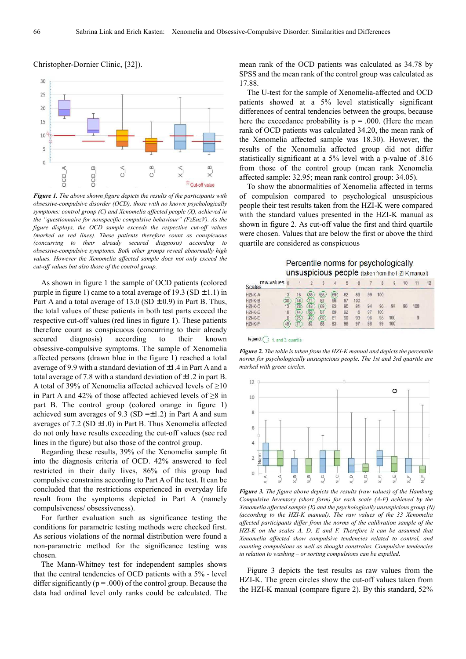

#### Christopher-Dornier Clinic, [32]).

*Figure 1. The above shown figure depicts the results of the participants with obsessive-compulsive disorder (OCD), those with no known psychologically symptoms: control group (C) and Xenomelia affected people (X), achieved in the "questionnaire for nonspecific compulsive behaviour" (FzEuzV). As the figure displays, the OCD sample exceeds the respective cut-off values (marked as red lines). These patients therefore count as conspicuous (concurring to their already secured diagnosis) according to obsessive-compulsive symptoms. Both other groups reveal abnormally high values. However the Xenomelia affected sample does not only exceed the cut-off values but also those of the control group.*

As shown in figure 1 the sample of OCD patients (colored purple in figure 1) came to a total average of 19.3 (SD  $\pm$  1.1) in Part A and a total average of  $13.0$  (SD  $\pm$  0.9) in Part B. Thus, the total values of these patients in both test parts exceed the respective cut-off values (red lines in figure 1). These patients therefore count as conspicuous (concurring to their already secured diagnosis) according to their known obsessive-compulsive symptoms. The sample of Xenomelia affected persons (drawn blue in the figure 1) reached a total average of 9.9 with a standard deviation of ±1.4 in Part A and a total average of 7.8 with a standard deviation of  $\pm 1.2$  in part B. A total of 39% of Xenomelia affected achieved levels of ≥10 in Part A and 42% of those affected achieved levels of ≥8 in part B. The control group (colored orange in figure 1) achieved sum averages of 9.3 (SD  $=\pm 1.2$ ) in Part A and sum averages of 7.2 (SD  $\pm$ 1.0) in Part B. Thus Xenomelia affected do not only have results exceeding the cut-off values (see red lines in the figure) but also those of the control group.

Regarding these results, 39% of the Xenomelia sample fit into the diagnosis criteria of OCD. 42% answered to feel restricted in their daily lives, 86% of this group had compulsive constrains according to Part A of the test. It can be concluded that the restrictions experienced in everyday life result from the symptoms depicted in Part A (namely compulsiveness/ obsessiveness).

For further evaluation such as significance testing the conditions for parametric testing methods were checked first. As serious violations of the normal distribution were found a non-parametric method for the significance testing was chosen.

The Mann-Whitney test for independent samples shows that the central tendencies of OCD patients with a 5% - level differ significantly ( $p = .000$ ) of the control group. Because the data had ordinal level only ranks could be calculated. The

mean rank of the OCD patients was calculated as 34.78 by SPSS and the mean rank of the control group was calculated as 17.88.

The U-test for the sample of Xenomelia-affected and OCD patients showed at a 5% level statistically significant differences of central tendencies between the groups, because here the exceedance probability is  $p = .000$ . (Here the mean rank of OCD patients was calculated 34.20, the mean rank of the Xenomelia affected sample was 18.30). However, the results of the Xenomelia affected group did not differ statistically significant at a 5% level with a p-value of .816 from those of the control group (mean rank Xenomelia affected sample: 32.95; mean rank control group: 34.05).

To show the abnormalities of Xenomelia affected in terms of compulsion compared to psychological unsuspicious people their test results taken from the HZI-K were compared with the standard values presented in the HZI-K manual as shown in figure 2. As cut-off value the first and third quartile were chosen. Values that are below the first or above the third quartile are considered as conspicuous

| raw-values o<br><b>Scales</b> | Percentile norms for psychologically<br>unsuspicious people (taken from the HZI-K manual) |  |    |         |                      |          |           |          |              |            |    |     |    |
|-------------------------------|-------------------------------------------------------------------------------------------|--|----|---------|----------------------|----------|-----------|----------|--------------|------------|----|-----|----|
|                               |                                                                                           |  |    |         |                      | 6        |           |          | $\mathbf{B}$ |            | 10 |     | 12 |
| $HZI-K-A$<br>$HZI-K-B$        |                                                                                           |  | 35 |         | 69                   | 82<br>97 | 89<br>100 | 99       | 100          |            |    |     |    |
| $HZ-K-C$<br>$HZH-K-D$         |                                                                                           |  | 48 | 69<br>g | 83<br>B <sub>9</sub> | 90<br>92 | 91<br>B   | 9d<br>97 | 96<br>100    | 97         |    | 100 |    |
| HZI-K-E<br>HZI-K-F            |                                                                                           |  |    | 69      | R1<br>02             | 90<br>96 | 93<br>97  | 96<br>98 | 98<br>99     | 100<br>100 |    | 9   |    |

legend:  $\bigcirc$  1. and 3. quartile

*Figure 2. The table is taken from the HZI-K manual and depicts the percentile norms for psychologically unsuspicious people. The 1st and 3rd quartile are marked with green circles.* 



*Figure 3. The figure above depicts the results (raw values) of the Hamburg Compulsive Inventory (short form) for each scale (A-F) achieved by the Xenomelia affected sample (X) and the psychologically unsuspicious group (N) (according to the HZI-K manual). The raw values of the 33 Xenomelia affected participants differ from the norms of the calibration sample of the HZI-K on the scales A, D, E and F. Therefore it can be assumed that Xenomelia affected show compulsive tendencies related to control, and counting compulsions as well as thought constrains. Compulsive tendencies in relation to washing – or sorting compulsions can be expelled.* 

Figure 3 depicts the test results as raw values from the HZI-K. The green circles show the cut-off values taken from the HZI-K manual (compare figure 2). By this standard, 52%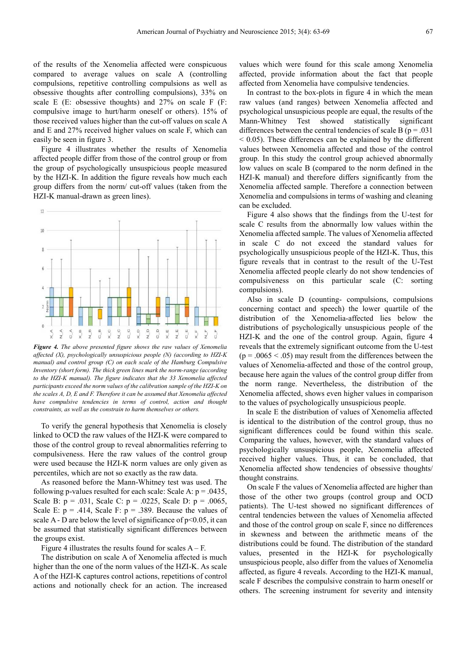of the results of the Xenomelia affected were conspicuous compared to average values on scale A (controlling compulsions, repetitive controlling compulsions as well as obsessive thoughts after controlling compulsions), 33% on scale E (E: obsessive thoughts) and 27% on scale F (F: compulsive image to hurt/harm oneself or others). 15% of those received values higher than the cut-off values on scale A and E and 27% received higher values on scale F, which can easily be seen in figure 3.

Figure 4 illustrates whether the results of Xenomelia affected people differ from those of the control group or from the group of psychologically unsuspicious people measured by the HZI-K. In addition the figure reveals how much each group differs from the norm/ cut-off values (taken from the HZI-K manual-drawn as green lines).



*Figure 4. The above presented figure shows the raw values of Xenomelia affected (X), psychologically unsuspicious people (N) (according to HZI-K manual) and control group (C) on each scale of the Hamburg Compulsive Inventory (short form). The thick green lines mark the norm-range (according to the HZI-K manual). The figure indicates that the 33 Xenomelia affected participants exceed the norm values of the calibration sample of the HZI-K on the scales A, D, E and F. Therefore it can be assumed that Xenomelia affected have compulsive tendencies in terms of control, action and thought constraints, as well as the constrain to harm themselves or others.* 

To verify the general hypothesis that Xenomelia is closely linked to OCD the raw values of the HZI-K were compared to those of the control group to reveal abnormalities referring to compulsiveness. Here the raw values of the control group were used because the HZI-K norm values are only given as percentiles, which are not so exactly as the raw data.

As reasoned before the Mann-Whitney test was used. The following p-values resulted for each scale: Scale A:  $p = .0435$ , Scale B:  $p = .031$ , Scale C:  $p = .0225$ , Scale D:  $p = .0065$ , Scale E:  $p = .414$ , Scale F:  $p = .389$ . Because the values of scale A - D are below the level of significance of  $p<0.05$ , it can be assumed that statistically significant differences between the groups exist.

Figure 4 illustrates the results found for scales  $A - F$ .

The distribution on scale A of Xenomelia affected is much higher than the one of the norm values of the HZI-K. As scale A of the HZI-K captures control actions, repetitions of control actions and notionally check for an action. The increased

values which were found for this scale among Xenomelia affected, provide information about the fact that people affected from Xenomelia have compulsive tendencies.

In contrast to the box-plots in figure 4 in which the mean raw values (and ranges) between Xenomelia affected and psychological unsuspicious people are equal, the results of the Mann-Whitney Test showed statistically significant differences between the central tendencies of scale B ( $p = .031$ )  $<$  0.05). These differences can be explained by the different values between Xenomelia affected and those of the control group. In this study the control group achieved abnormally low values on scale B (compared to the norm defined in the HZI-K manual) and therefore differs significantly from the Xenomelia affected sample. Therefore a connection between Xenomelia and compulsions in terms of washing and cleaning can be excluded.

Figure 4 also shows that the findings from the U-test for scale C results from the abnormally low values within the Xenomelia affected sample. The values of Xenomelia affected in scale C do not exceed the standard values for psychologically unsuspicious people of the HZI-K. Thus, this figure reveals that in contrast to the result of the U-Test Xenomelia affected people clearly do not show tendencies of compulsiveness on this particular scale (C: sorting compulsions).

Also in scale D (counting- compulsions, compulsions concerning contact and speech) the lower quartile of the distribution of the Xenomelia-affected lies below the distributions of psychologically unsuspicious people of the HZI-K and the one of the control group. Again, figure 4 reveals that the extremely significant outcome from the U-test  $(p = .0065 < .05)$  may result from the differences between the values of Xenomelia-affected and those of the control group, because here again the values of the control group differ from the norm range. Nevertheless, the distribution of the Xenomelia affected, shows even higher values in comparison to the values of psychologically unsuspicious people.

In scale E the distribution of values of Xenomelia affected is identical to the distribution of the control group, thus no significant differences could be found within this scale. Comparing the values, however, with the standard values of psychologically unsuspicious people, Xenomelia affected received higher values. Thus, it can be concluded, that Xenomelia affected show tendencies of obsessive thoughts/ thought constrains.

On scale F the values of Xenomelia affected are higher than those of the other two groups (control group and OCD patients). The U-test showed no significant differences of central tendencies between the values of Xenomelia affected and those of the control group on scale F, since no differences in skewness and between the arithmetic means of the distributions could be found. The distribution of the standard values, presented in the HZI-K for psychologically unsuspicious people, also differ from the values of Xenomelia affected, as figure 4 reveals. According to the HZI-K manual, scale F describes the compulsive constrain to harm oneself or others. The screening instrument for severity and intensity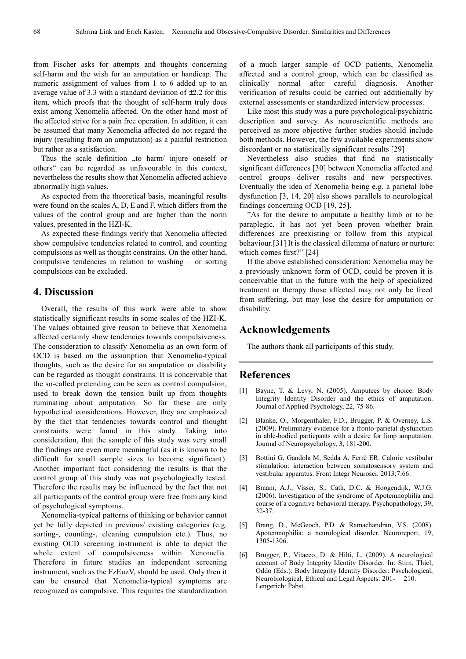from Fischer asks for attempts and thoughts concerning self-harm and the wish for an amputation or handicap. The numeric assignment of values from 1 to 6 added up to an average value of 3.3 with a standard deviation of  $\pm$ 2.2 for this item, which proofs that the thought of self-harm truly does exist among Xenomelia affected. On the other hand most of the affected strive for a pain free operation. In addition, it can be assumed that many Xenomelia affected do not regard the injury (resulting from an amputation) as a painful restriction but rather as a satisfaction.

Thus the scale definition "to harm/ injure oneself or others" can be regarded as unfavourable in this context, nevertheless the results show that Xenomelia affected achieve abnormally high values.

As expected from the theoretical basis, meaningful results were found on the scales A, D, E and F, which differs from the values of the control group and are higher than the norm values, presented in the HZI-K.

As expected these findings verify that Xenomelia affected show compulsive tendencies related to control, and counting compulsions as well as thought constrains. On the other hand, compulsive tendencies in relation to washing – or sorting compulsions can be excluded.

## **4. Discussion**

Overall, the results of this work were able to show statistically significant results in some scales of the HZI-K. The values obtained give reason to believe that Xenomelia affected certainly show tendencies towards compulsiveness. The consideration to classify Xenomelia as an own form of OCD is based on the assumption that Xenomelia-typical thoughts, such as the desire for an amputation or disability can be regarded as thought constrains. It is conceivable that the so-called pretending can be seen as control compulsion, used to break down the tension built up from thoughts ruminating about amputation. So far these are only hypothetical considerations. However, they are emphasized by the fact that tendencies towards control and thought constraints were found in this study. Taking into consideration, that the sample of this study was very small the findings are even more meaningful (as it is known to be difficult for small sample sizes to become significant). Another important fact considering the results is that the control group of this study was not psychologically tested. Therefore the results may be influenced by the fact that not all participants of the control group were free from any kind of psychological symptoms.

Xenomelia-typical patterns of thinking or behavior cannot yet be fully depicted in previous/ existing categories (e.g. sorting-, counting-, cleaning compulsion etc.). Thus, no existing OCD screening instrument is able to depict the whole extent of compulsiveness within Xenomelia. Therefore in future studies an independent screening instrument, such as the FzEuzV, should be used. Only then it can be ensured that Xenomelia-typical symptoms are recognized as compulsive. This requires the standardization

of a much larger sample of OCD patients, Xenomelia affected and a control group, which can be classified as clinically normal after careful diagnosis. Another verification of results could be carried out additionally by external assessments or standardized interview processes.

Like most this study was a pure psychological/psychiatric description and survey. As neuroscientific methods are perceived as more objective further studies should include both methods. However, the few available experiments show discordant or no statistically significant results [29]

Nevertheless also studies that find no statistically significant differences [30] between Xenomelia affected and control groups deliver results and new perspectives. Eventually the idea of Xenomelia being e.g. a parietal lobe dysfunction [3, 14, 20] also shows parallels to neurological findings concerning OCD [19, 25].

"As for the desire to amputate a healthy limb or to be paraplegic, it has not yet been proven whether brain differences are preexisting or follow from this atypical behaviour.[31] It is the classical dilemma of nature or nurture: which comes first?" [24]

If the above established consideration: Xenomelia may be a previously unknown form of OCD, could be proven it is conceivable that in the future with the help of specialized treatment or therapy those affected may not only be freed from suffering, but may lose the desire for amputation or disability.

## **Acknowledgements**

The authors thank all participants of this study.

## **References**

- [1] Bayne, T. & Levy, N. (2005). Amputees by choice: Body Integrity Identity Disorder and the ethics of amputation. Journal of Applied Psychology, 22, 75-86.
- [2] Blanke, O., Morgenthaler, F.D., Brugger, P. & Overney, L.S. (2009). Preliminary evidence for a fronto-parietal dysfunction in able-bodied particpants with a desire for limp amputation. Journal of Neuropsychology, 3, 181-200.
- [3] Bottini G, Gandola M, Sedda A, Ferrè ER. Caloric vestibular stimulation: interaction between somatosensory system and vestibular apparatus. Front Integr Neurosci. 2013;7:66.
- [4] Braam, A.J., Visser, S., Cath, D.C. & Hoogendijk, W.J.G. (2006). Investigation of the syndrome of Apotemnophilia and course of a cognitive-behavioral therapy. Psychopathology, 39, 32-37.
- [5] Brang, D., McGeoch, P.D. & Ramachandran, V.S. (2008). Apotemnophilia: a neurological disorder. Neuroreport, 19, 1305-1306.
- [6] Brugger, P., Vitacco, D. & Hilti, L. (2009). A neurological account of Body Integrity Identity Disorder. In: Stirn, Thiel, Oddo (Eds.): Body Integrity Identity Disorder: Psychological, Neurobiological, Ethical and Legal Aspects: 201- 210. Lengerich: Pabst.